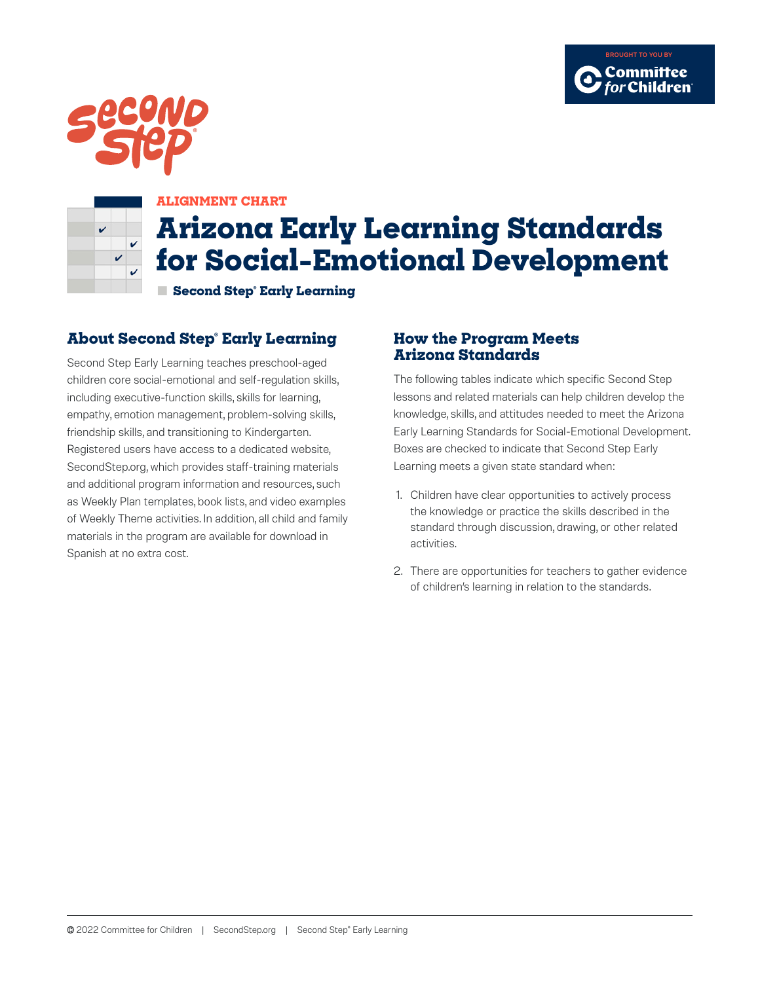





### **ALIGNMENT CHART**

# **Arizona Early Learning Standards for Social-Emotional Development**

**■ Second Step® Early Learning** 

# **About Second Step® Early Learning**

Second Step Early Learning teaches preschool-aged children core social-emotional and self-regulation skills, including executive-function skills, skills for learning, empathy, emotion management, problem-solving skills, friendship skills, and transitioning to Kindergarten. Registered users have access to a dedicated website, SecondStep.org, which provides staff-training materials and additional program information and resources, such as Weekly Plan templates, book lists, and video examples of Weekly Theme activities. In addition, all child and family materials in the program are available for download in Spanish at no extra cost.

## **How the Program Meets Arizona Standards**

The following tables indicate which specific Second Step lessons and related materials can help children develop the knowledge, skills, and attitudes needed to meet the Arizona Early Learning Standards for Social-Emotional Development. Boxes are checked to indicate that Second Step Early Learning meets a given state standard when:

- 1. Children have clear opportunities to actively process the knowledge or practice the skills described in the standard through discussion, drawing, or other related activities.
- 2. There are opportunities for teachers to gather evidence of children's learning in relation to the standards.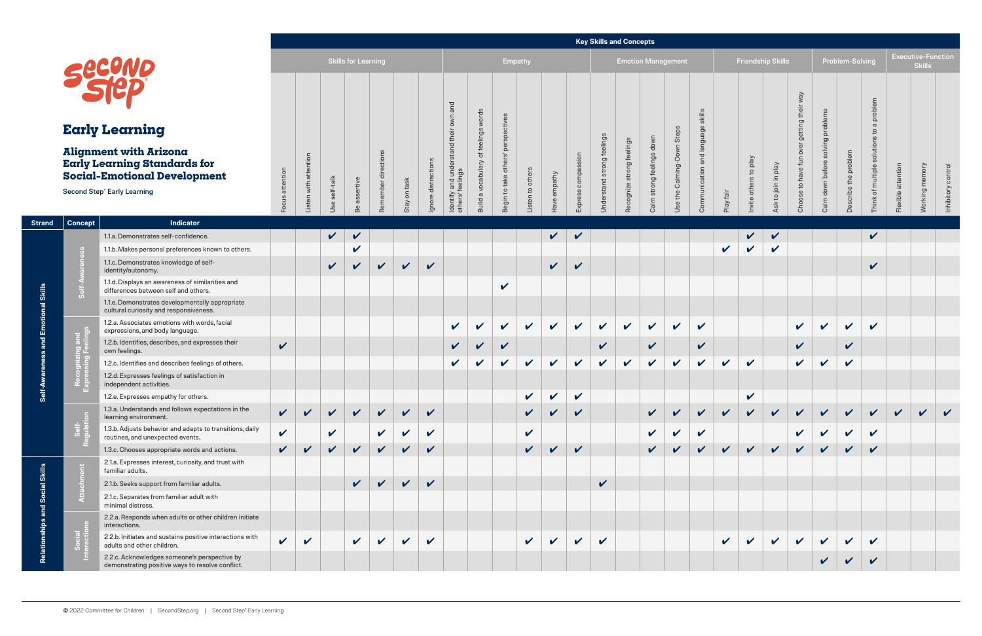# **Alignment with Arizona Early Learning Standards for Social-Emotional Development**

#### **Key Skills and Concepts**

|                            |                       |                  |                 |                        |                 |                     | ---<br>فادان المالية فالمتحافظ فالمتفق المتخاذ المتحافية              |                                      |                                    |                     |                 |                           |                               |                              |                              |                                     |                                      |  |  |  |
|----------------------------|-----------------------|------------------|-----------------|------------------------|-----------------|---------------------|-----------------------------------------------------------------------|--------------------------------------|------------------------------------|---------------------|-----------------|---------------------------|-------------------------------|------------------------------|------------------------------|-------------------------------------|--------------------------------------|--|--|--|
| <b>Skills for Learning</b> |                       |                  |                 |                        |                 |                     |                                                                       |                                      | <b>Empathy</b>                     |                     |                 | <b>Emotion Management</b> |                               |                              |                              |                                     |                                      |  |  |  |
| Focus attention            | Listen with attention | self-talk<br>Use | assertive<br>Be | directions<br>Remember | on task<br>Stay | Ignore distractions | and<br>own<br>and understand their<br>feelings<br>ldentify<br>others' | Build a vocabulary of feelings words | Begin to take others' perspectives | others<br>Listen to | empathy<br>Have | compassion<br>Express     | strong feelings<br>Understand | strong feelings<br>Recognize | down<br>Calm strong feelings | Steps<br>Calming-Down<br>the<br>Use | and language skills<br>Communication |  |  |  |

|                                 |                                                                                                                                                                            |                                                                                                  |                 |                            |                  |                           |                         |                            |               |                                                                                            |                              |                                                            |                    |                                   |                          |                                       |                              | <b>Key Skills and Concepts</b> |                                                 |                            |              |                                     |                          |                                                  |                                              |                     |                            |         |                |                                            |  |
|---------------------------------|----------------------------------------------------------------------------------------------------------------------------------------------------------------------------|--------------------------------------------------------------------------------------------------|-----------------|----------------------------|------------------|---------------------------|-------------------------|----------------------------|---------------|--------------------------------------------------------------------------------------------|------------------------------|------------------------------------------------------------|--------------------|-----------------------------------|--------------------------|---------------------------------------|------------------------------|--------------------------------|-------------------------------------------------|----------------------------|--------------|-------------------------------------|--------------------------|--------------------------------------------------|----------------------------------------------|---------------------|----------------------------|---------|----------------|--------------------------------------------|--|
|                                 |                                                                                                                                                                            |                                                                                                  |                 | <b>Skills for Learning</b> |                  |                           |                         |                            |               |                                                                                            | Empathy                      |                                                            |                    |                                   |                          |                                       |                              | <b>Emotion Management</b>      |                                                 |                            |              |                                     | <b>Friendship Skills</b> |                                                  |                                              |                     | Problem-Solving            |         |                | <b>Executive-Function</b><br><b>Skills</b> |  |
|                                 | <b>Early Learning</b><br><b>Alignment with Arizona</b><br><b>Early Learning Standards for</b><br><b>Social-Emotional Development</b><br><b>Second Step® Early Learning</b> |                                                                                                  |                 |                            |                  |                           |                         |                            |               | and                                                                                        | words                        |                                                            |                    |                                   | °S<br>$\omega$<br>Expres |                                       |                              |                                | skills<br>uage<br>Steps<br>Use the Calming-Down |                            |              |                                     |                          | Vew                                              |                                              |                     | problem                    |         |                |                                            |  |
|                                 |                                                                                                                                                                            |                                                                                                  |                 |                            |                  |                           |                         |                            |               |                                                                                            | ngs                          |                                                            | to others<br>isten |                                   |                          | elings<br>⊕<br>$\sigma$<br>Jnderstand |                              |                                |                                                 |                            |              |                                     |                          | getting the                                      | problem                                      |                     |                            |         |                |                                            |  |
|                                 |                                                                                                                                                                            |                                                                                                  |                 | with attention<br>isten    | self-talk<br>Use | sertive<br>$\sigma$<br>Be | ctions<br>ᇂ<br>Remember | Stay on task               | Ignore distra | the<br>$\overline{\sigma}$<br>$\geq$<br>$\sigma$<br>and<br>feelir<br>Identify<br>others' f | a vocabulary<br><b>Build</b> | $\bar{\Omega}$<br>others'<br>take<br>$\mathtt{S}$<br>Begin |                    | empathy<br>$\omega$<br><b>MBH</b> |                          |                                       | feelings<br>Recognize strong | down<br>Calm strong feelings   |                                                 | and lang<br>Communi        | Play fair    | veld of<br>$\omega$<br>Invite other | Veld<br>Ask to join in   | ove<br>fun<br>ave<br>$\mathbb{S}^1$<br>9S<br>Cho | $\sigma$<br>solvin<br>before<br>down<br>Calm | the problem<br>ribe | of multiple<br><b>hink</b> | attenti | <b>Working</b> | control<br>Inhibitory                      |  |
| <b>Strand</b>                   | Indicator<br><b>Concept</b>                                                                                                                                                |                                                                                                  | Focus attention |                            |                  |                           |                         |                            |               |                                                                                            |                              |                                                            |                    |                                   |                          |                                       |                              |                                |                                                 |                            |              |                                     |                          |                                                  |                                              |                     |                            |         |                |                                            |  |
|                                 |                                                                                                                                                                            | 1.1.a. Demonstrates self-confidence.                                                             |                 |                            | $\sqrt{ }$       | $\checkmark$              |                         |                            |               |                                                                                            |                              |                                                            |                    | $\vee$ $\vee$                     |                          |                                       |                              |                                |                                                 |                            |              | $\sqrt{ }$                          | $\checkmark$             |                                                  |                                              |                     | $\checkmark$               |         |                |                                            |  |
|                                 | Self-A                                                                                                                                                                     | 1.1.b. Makes personal preferences known to others.                                               |                 |                            |                  | $\checkmark$              |                         |                            |               |                                                                                            |                              |                                                            |                    |                                   |                          |                                       |                              |                                |                                                 |                            | $\checkmark$ | $\mathbf{v}$                        |                          |                                                  |                                              |                     |                            |         |                |                                            |  |
|                                 |                                                                                                                                                                            | 1.1.c. Demonstrates knowledge of self-<br>identity/autonomy.                                     |                 |                            | $\sqrt{2}$       | $\mathbf{v}$              | $\sqrt{2}$              | $\sqrt{2}$                 | $\mathbf v$   |                                                                                            |                              |                                                            |                    | $\vee$                            | $\checkmark$             |                                       |                              |                                |                                                 |                            |              |                                     |                          |                                                  |                                              |                     | V                          |         |                |                                            |  |
|                                 |                                                                                                                                                                            | 1.1.d. Displays an awareness of similarities and<br>differences between self and others.         |                 |                            |                  |                           |                         |                            |               |                                                                                            |                              | $\checkmark$                                               |                    |                                   |                          |                                       |                              |                                |                                                 |                            |              |                                     |                          |                                                  |                                              |                     |                            |         |                |                                            |  |
| <b>Emotional Skills</b>         |                                                                                                                                                                            | 1.1.e. Demonstrates developmentally appropriate<br>cultural curiosity and responsiveness.        |                 |                            |                  |                           |                         |                            |               |                                                                                            |                              |                                                            |                    |                                   |                          |                                       |                              |                                |                                                 |                            |              |                                     |                          |                                                  |                                              |                     |                            |         |                |                                            |  |
|                                 |                                                                                                                                                                            | 1.2.a. Associates emotions with words, facial<br>expressions, and body language.                 |                 |                            |                  |                           |                         |                            |               | $\checkmark$                                                                               | $\boldsymbol{\mathcal{U}}$   | $\mathbf v$                                                | $\mathbf v$        | $\checkmark$                      | $\checkmark$             | $\checkmark$                          | $\checkmark$                 | $\checkmark$                   | $\checkmark$                                    | $\boldsymbol{\mathcal{U}}$ |              |                                     |                          | $\mathbf{v}$                                     | V                                            | $\checkmark$        | $\mathbf v$                |         |                |                                            |  |
| and                             | <b>Inizing</b> and<br>sing Feeling                                                                                                                                         | 1.2.b. Identifies, describes, and expresses their<br>own feelings.                               | $\checkmark$    |                            |                  |                           |                         |                            |               |                                                                                            |                              | $\boldsymbol{\nu}$                                         |                    |                                   |                          | $\checkmark$                          |                              | $\checkmark$                   |                                                 | $\checkmark$               |              |                                     |                          | V                                                |                                              | $\mathbf v$         |                            |         |                |                                            |  |
| eness                           |                                                                                                                                                                            | 1.2.c. Identifies and describes feelings of others.                                              |                 |                            |                  |                           |                         |                            |               | $\checkmark$                                                                               | $\mathbf{v}$                 | $\mathbf{v}$                                               | $\mathbf{v}$       | $\mathbf v$                       | $\checkmark$             | $\checkmark$                          | $\vee$                       | $\checkmark$                   | $\checkmark$                                    | $\mathbf{v}$               | $\checkmark$ | $\mathbf v$                         |                          | $\checkmark$                                     | $\mathbf v$                                  | $\checkmark$        |                            |         |                |                                            |  |
|                                 |                                                                                                                                                                            | 1.2.d. Expresses feelings of satisfaction in<br>independent activities.                          |                 |                            |                  |                           |                         |                            |               |                                                                                            |                              |                                                            |                    |                                   |                          |                                       |                              |                                |                                                 |                            |              |                                     |                          |                                                  |                                              |                     |                            |         |                |                                            |  |
|                                 |                                                                                                                                                                            | 1.2.e. Expresses empathy for others.                                                             |                 |                            |                  |                           |                         |                            |               |                                                                                            |                              |                                                            | $\checkmark$       | $\checkmark$                      | $\checkmark$             |                                       |                              |                                |                                                 |                            |              | $\checkmark$                        |                          |                                                  |                                              |                     |                            |         |                |                                            |  |
|                                 |                                                                                                                                                                            | 1.3.a. Understands and follows expectations in the<br>learning environment.                      |                 | $\checkmark$               | $\checkmark$     | $\checkmark$              | $\checkmark$            | $\boldsymbol{\mathcal{U}}$ | $\checkmark$  |                                                                                            |                              |                                                            | $\checkmark$       | $\mathbf{v}$                      | $\checkmark$             |                                       |                              |                                |                                                 |                            | $\mathbf{v}$ | $\vee$                              |                          |                                                  |                                              |                     |                            |         |                |                                            |  |
|                                 | Self<br>1le2                                                                                                                                                               | 1.3.b. Adjusts behavior and adapts to transitions, daily<br>routines, and unexpected events.     | $\checkmark$    |                            | $\checkmark$     |                           | $\sqrt{2}$              | $\checkmark$               | $\checkmark$  |                                                                                            |                              |                                                            | $\checkmark$       |                                   |                          |                                       |                              | $\sqrt{2}$                     | $\mathbf v$                                     | $\sqrt{2}$                 |              |                                     |                          | $\sqrt{2}$                                       | $\sqrt{2}$                                   |                     | $\checkmark$               |         |                |                                            |  |
|                                 |                                                                                                                                                                            | 1.3.c. Chooses appropriate words and actions.                                                    | $\mathbf{v}$    | $\mathbf{v}$               | $\checkmark$     | $\checkmark$              | $\mathbf{v}$            | $\mathbf{v}$               | $\checkmark$  |                                                                                            |                              |                                                            | $\mathbf{v}$       | $\boldsymbol{\mathcal{U}}$        | $\mathbf v$              |                                       |                              |                                | $\boldsymbol{\mathcal{U}}$                      | $\mathbf{v}$               | $\sqrt{2}$   | $\vee$                              | $\vee$                   | $\vee$                                           | $\vee$                                       | $\vee$              | $\mathbf{v}$               |         |                |                                            |  |
| <b>Skills</b>                   | int                                                                                                                                                                        | 2.1.a. Expresses interest, curiosity, and trust with<br>familiar adults.                         |                 |                            |                  |                           |                         |                            |               |                                                                                            |                              |                                                            |                    |                                   |                          |                                       |                              |                                |                                                 |                            |              |                                     |                          |                                                  |                                              |                     |                            |         |                |                                            |  |
| <b>Relationships and Social</b> | $rac{5}{2}$                                                                                                                                                                | 2.1.b. Seeks support from familiar adults.                                                       |                 |                            |                  | $\mathbf{v}$              | $\mathbf{v}$            | $\checkmark$               | $\checkmark$  |                                                                                            |                              |                                                            |                    |                                   |                          | $\checkmark$                          |                              |                                |                                                 |                            |              |                                     |                          |                                                  |                                              |                     |                            |         |                |                                            |  |
|                                 |                                                                                                                                                                            | 2.1.c. Separates from familiar adult with<br>minimal distress.                                   |                 |                            |                  |                           |                         |                            |               |                                                                                            |                              |                                                            |                    |                                   |                          |                                       |                              |                                |                                                 |                            |              |                                     |                          |                                                  |                                              |                     |                            |         |                |                                            |  |
|                                 |                                                                                                                                                                            | 2.2.a. Responds when adults or other children initiate<br>interactions.                          |                 |                            |                  |                           |                         |                            |               |                                                                                            |                              |                                                            |                    |                                   |                          |                                       |                              |                                |                                                 |                            |              |                                     |                          |                                                  |                                              |                     |                            |         |                |                                            |  |
|                                 |                                                                                                                                                                            | 2.2.b. Initiates and sustains positive interactions with<br>adults and other children.           | $\mathbf{v}$    | $\checkmark$               |                  | $\mathbf{v}$              | $\checkmark$            | $\checkmark$               | $\checkmark$  |                                                                                            |                              |                                                            | $\mathbf{v}$       | $\checkmark$                      | $\checkmark$             | $\checkmark$                          |                              |                                |                                                 |                            | $\mathbf{v}$ | $\mathbf{v}$                        | $\mathbf{v}$             | $\mathbf{v}$                                     | $\checkmark$                                 | $\checkmark$        | $\mathbf{v}$               |         |                |                                            |  |
|                                 |                                                                                                                                                                            | 2.2.c. Acknowledges someone's perspective by<br>demonstrating positive ways to resolve conflict. |                 |                            |                  |                           |                         |                            |               |                                                                                            |                              |                                                            |                    |                                   |                          |                                       |                              |                                |                                                 |                            |              |                                     |                          |                                                  |                                              |                     | $\boldsymbol{\nu}$         |         |                |                                            |  |